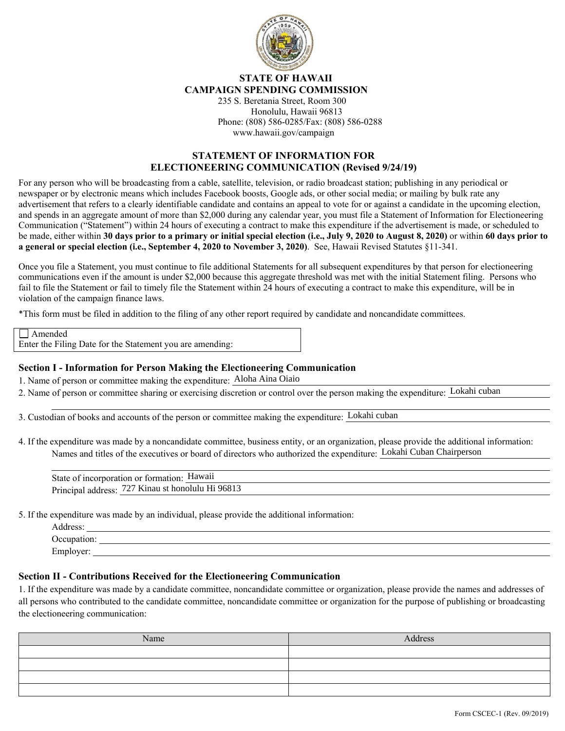

## **STATE OF HAWAII CAMPAIGN SPENDING COMMISSION**

235 S. Beretania Street, Room 300 Honolulu, Hawaii 96813 Phone: (808) 586-0285/Fax: (808) 586-0288 www.hawaii.gov/campaign

## **STATEMENT OF INFORMATION FOR ELECTIONEERING COMMUNICATION (Revised 9/24/19)**

For any person who will be broadcasting from a cable, satellite, television, or radio broadcast station; publishing in any periodical or newspaper or by electronic means which includes Facebook boosts, Google ads, or other social media; or mailing by bulk rate any advertisement that refers to a clearly identifiable candidate and contains an appeal to vote for or against a candidate in the upcoming election, and spends in an aggregate amount of more than \$2,000 during any calendar year, you must file a Statement of Information for Electioneering Communication ("Statement") within 24 hours of executing a contract to make this expenditure if the advertisement is made, or scheduled to be made, either within **30 days prior to a primary or initial special election (i.e., July 9, 2020 to August 8, 2020)** or within **60 days prior to a general or special election (i.e., September 4, 2020 to November 3, 2020)**. See, Hawaii Revised Statutes §11-341.

Once you file a Statement, you must continue to file additional Statements for all subsequent expenditures by that person for electioneering communications even if the amount is under \$2,000 because this aggregate threshold was met with the initial Statement filing. Persons who fail to file the Statement or fail to timely file the Statement within 24 hours of executing a contract to make this expenditure, will be in violation of the campaign finance laws.

\*This form must be filed in addition to the filing of any other report required by candidate and noncandidate committees.

| $\Box$ Amended                                            |  |
|-----------------------------------------------------------|--|
| Enter the Filing Date for the Statement you are amending: |  |

## **Section I - Information for Person Making the Electioneering Communication**

1. Name of person or committee making the expenditure: Aloha Aina Oiaio

2. Name of person or committee sharing or exercising discretion or control over the person making the expenditure:

3. Custodian of books and accounts of the person or committee making the expenditure:

4. If the expenditure was made by a noncandidate committee, business entity, or an organization, please provide the additional information: Names and titles of the executives or board of directors who authorized the expenditure: Lokahi Cuban Chairperson

| of person or committee making the expenditure: Aloha Aina Oiaio                                                                                                                                                                                        |
|--------------------------------------------------------------------------------------------------------------------------------------------------------------------------------------------------------------------------------------------------------|
| of person or committee sharing or exercising discretion or control over the person making the expenditure: Lokahi cuban                                                                                                                                |
|                                                                                                                                                                                                                                                        |
| dian of books and accounts of the person or committee making the expenditure: Lokahi cuban                                                                                                                                                             |
| expenditure was made by a noncandidate committee, business entity, or an organization, please provide the additional information:<br>Names and titles of the executives or board of directors who authorized the expenditure: Lokahi Cuban Chairperson |
|                                                                                                                                                                                                                                                        |
| State of incorporation or formation: Hawaii                                                                                                                                                                                                            |
| Principal address: 727 Kinau st honolulu Hi 96813                                                                                                                                                                                                      |

5. If the expenditure was made by an individual, please provide the additional information:

| Address:    |  |  |
|-------------|--|--|
| Occupation: |  |  |
| Employer:   |  |  |

## **Section II - Contributions Received for the Electioneering Communication**

1. If the expenditure was made by a candidate committee, noncandidate committee or organization, please provide the names and addresses of all persons who contributed to the candidate committee, noncandidate committee or organization for the purpose of publishing or broadcasting the electioneering communication:

| Name | Address |
|------|---------|
|      |         |
|      |         |
|      |         |
|      |         |